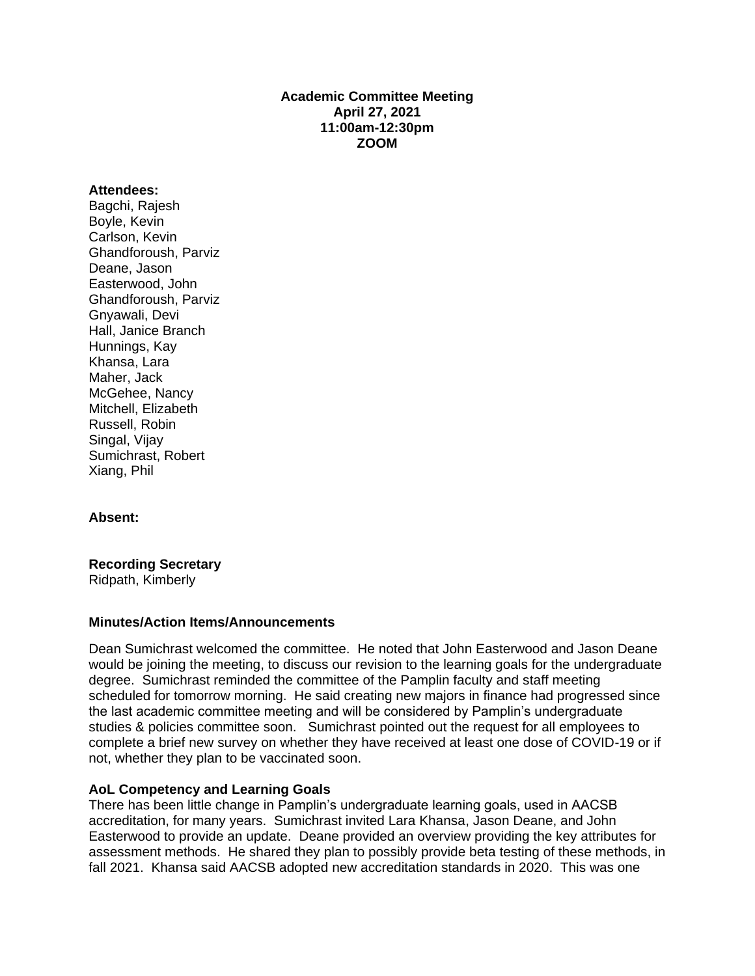# **Academic Committee Meeting April 27, 2021 11:00am-12:30pm ZOOM**

#### **Attendees:**

Bagchi, Rajesh Boyle, Kevin Carlson, Kevin Ghandforoush, Parviz Deane, Jason Easterwood, John Ghandforoush, Parviz Gnyawali, Devi Hall, Janice Branch Hunnings, Kay Khansa, Lara Maher, Jack McGehee, Nancy Mitchell, Elizabeth Russell, Robin Singal, Vijay Sumichrast, Robert Xiang, Phil

# **Absent:**

# **Recording Secretary**

Ridpath, Kimberly

#### **Minutes/Action Items/Announcements**

Dean Sumichrast welcomed the committee. He noted that John Easterwood and Jason Deane would be joining the meeting, to discuss our revision to the learning goals for the undergraduate degree. Sumichrast reminded the committee of the Pamplin faculty and staff meeting scheduled for tomorrow morning. He said creating new majors in finance had progressed since the last academic committee meeting and will be considered by Pamplin's undergraduate studies & policies committee soon. Sumichrast pointed out the request for all employees to complete a brief new survey on whether they have received at least one dose of COVID-19 or if not, whether they plan to be vaccinated soon.

#### **AoL Competency and Learning Goals**

There has been little change in Pamplin's undergraduate learning goals, used in AACSB accreditation, for many years. Sumichrast invited Lara Khansa, Jason Deane, and John Easterwood to provide an update. Deane provided an overview providing the key attributes for assessment methods. He shared they plan to possibly provide beta testing of these methods, in fall 2021. Khansa said AACSB adopted new accreditation standards in 2020. This was one